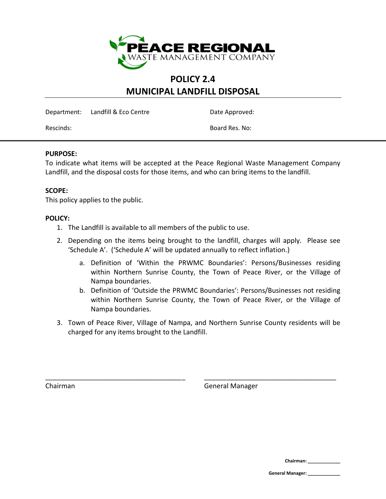

### **POLICY 2.4 MUNICIPAL LANDFILL DISPOSAL**

Department: Landfill & Eco Centre Date Approved:

Rescinds: Board Res. No:

#### **PURPOSE:**

To indicate what items will be accepted at the Peace Regional Waste Management Company Landfill, and the disposal costs for those items, and who can bring items to the landfill.

### **SCOPE:**

This policy applies to the public.

#### **POLICY:**

- 1. The Landfill is available to all members of the public to use.
- 2. Depending on the items being brought to the landfill, charges will apply. Please see 'Schedule A'. ('Schedule A' will be updated annually to reflect inflation.)
	- a. Definition of 'Within the PRWMC Boundaries': Persons/Businesses residing within Northern Sunrise County, the Town of Peace River, or the Village of Nampa boundaries.
	- b. Definition of 'Outside the PRWMC Boundaries': Persons/Businesses not residing within Northern Sunrise County, the Town of Peace River, or the Village of Nampa boundaries.
- 3. Town of Peace River, Village of Nampa, and Northern Sunrise County residents will be charged for any items brought to the Landfill.

\_\_\_\_\_\_\_\_\_\_\_\_\_\_\_\_\_\_\_\_\_\_\_\_\_\_\_\_\_\_\_\_\_\_\_\_\_ \_\_\_\_\_\_\_\_\_\_\_\_\_\_\_\_\_\_\_\_\_\_\_\_\_\_\_\_\_\_\_\_\_\_\_

Chairman General Manager

**Chairman: \_\_\_\_\_\_\_\_\_\_\_\_\_**

**General Manager: \_\_\_\_\_\_\_\_\_\_\_\_\_**